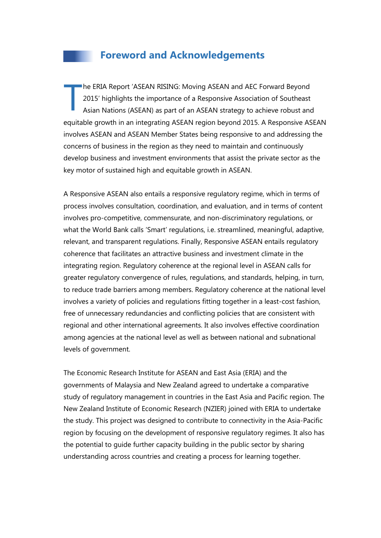## **Foreword and Acknowledgements**

he ERIA Report 'ASEAN RISING: Moving ASEAN and AEC Forward Beyond 2015' highlights the importance of a Responsive Association of Southeast Asian Nations (ASEAN) as part of an ASEAN strategy to achieve robust and equitable growth in an integrating ASEAN region beyond 2015. A Responsive ASEAN involves ASEAN and ASEAN Member States being responsive to and addressing the concerns of business in the region as they need to maintain and continuously develop business and investment environments that assist the private sector as the key motor of sustained high and equitable growth in ASEAN. T

A Responsive ASEAN also entails a responsive regulatory regime, which in terms of process involves consultation, coordination, and evaluation, and in terms of content involves pro-competitive, commensurate, and non-discriminatory regulations, or what the World Bank calls 'Smart' regulations, i.e. streamlined, meaningful, adaptive, relevant, and transparent regulations. Finally, Responsive ASEAN entails regulatory coherence that facilitates an attractive business and investment climate in the integrating region. Regulatory coherence at the regional level in ASEAN calls for greater regulatory convergence of rules, regulations, and standards, helping, in turn, to reduce trade barriers among members. Regulatory coherence at the national level involves a variety of policies and regulations fitting together in a least-cost fashion, free of unnecessary redundancies and conflicting policies that are consistent with regional and other international agreements. It also involves effective coordination among agencies at the national level as well as between national and subnational levels of government.

The Economic Research Institute for ASEAN and East Asia (ERIA) and the governments of Malaysia and New Zealand agreed to undertake a comparative study of regulatory management in countries in the East Asia and Pacific region. The New Zealand Institute of Economic Research (NZIER) joined with ERIA to undertake the study. This project was designed to contribute to connectivity in the Asia-Pacific region by focusing on the development of responsive regulatory regimes. It also has the potential to guide further capacity building in the public sector by sharing understanding across countries and creating a process for learning together.